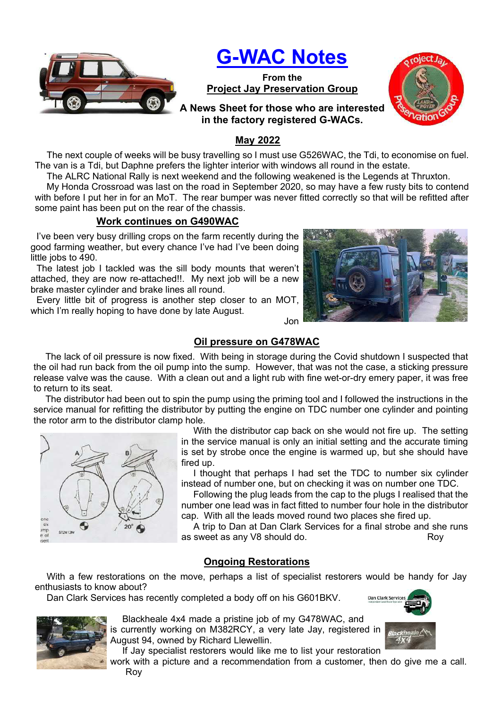

# G-WAC Notes

From the Project Jay Preservation Group



# A News Sheet for those who are interested in the factory registered G-WACs.

### May 2022

The next couple of weeks will be busy travelling so I must use G526WAC, the Tdi, to economise on fuel. The van is a Tdi, but Daphne prefers the lighter interior with windows all round in the estate.

The ALRC National Rally is next weekend and the following weakened is the Legends at Thruxton.

My Honda Crossroad was last on the road in September 2020, so may have a few rusty bits to contend with before I put her in for an MoT. The rear bumper was never fitted correctly so that will be refitted after some paint has been put on the rear of the chassis.

# Work continues on G490WAC

I've been very busy drilling crops on the farm recently during the good farming weather, but every chance I've had I've been doing little jobs to 490.

The latest job I tackled was the sill body mounts that weren't attached, they are now re-attached!!. My next job will be a new brake master cylinder and brake lines all round.

Every little bit of progress is another step closer to an MOT, which I'm really hoping to have done by late August.



# Oil pressure on G478WAC

Jon

The lack of oil pressure is now fixed. With being in storage during the Covid shutdown I suspected that the oil had run back from the oil pump into the sump. However, that was not the case, a sticking pressure release valve was the cause. With a clean out and a light rub with fine wet-or-dry emery paper, it was free to return to its seat.

The distributor had been out to spin the pump using the priming tool and I followed the instructions in the service manual for refitting the distributor by putting the engine on TDC number one cylinder and pointing the rotor arm to the distributor clamp hole.



With the distributor cap back on she would not fire up. The setting in the service manual is only an initial setting and the accurate timing is set by strobe once the engine is warmed up, but she should have fired up.

I thought that perhaps I had set the TDC to number six cylinder instead of number one, but on checking it was on number one TDC.

Following the plug leads from the cap to the plugs I realised that the number one lead was in fact fitted to number four hole in the distributor cap. With all the leads moved round two places she fired up.

A trip to Dan at Dan Clark Services for a final strobe and she runs as sweet as any V8 should do. The same state of the Roy

# Ongoing Restorations

With a few restorations on the move, perhaps a list of specialist restorers would be handy for Jay enthusiasts to know about?

Dan Clark Services has recently completed a body off on his G601BKV.



Blackheale 4x4 made a pristine job of my G478WAC, and is currently working on M382RCY, a very late Jay, registered in August 94, owned by Richard Llewellin.

If Jay specialist restorers would like me to list your restoration

work with a picture and a recommendation from a customer, then do give me a call. Roy

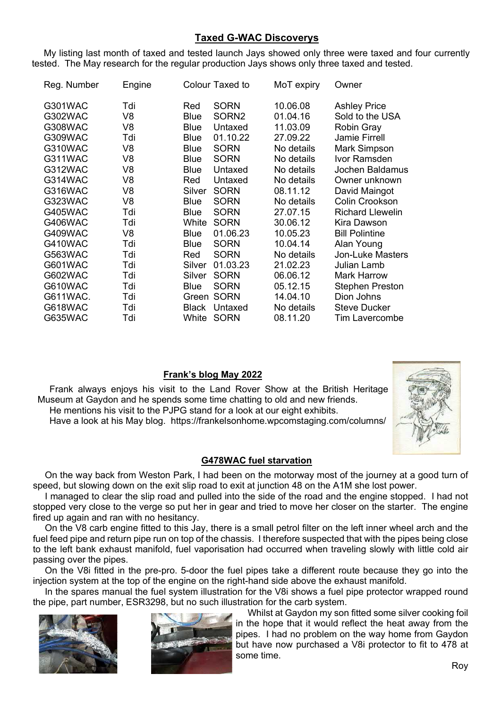### Taxed G-WAC Discoverys

My listing last month of taxed and tested launch Jays showed only three were taxed and four currently tested. The May research for the regular production Jays shows only three taxed and tested.

| Reg. Number    | Engine         |              | Colour Taxed to   | MoT expiry | Owner                   |
|----------------|----------------|--------------|-------------------|------------|-------------------------|
| G301WAC        | Tdi            | Red          | SORN              | 10.06.08   | <b>Ashley Price</b>     |
| G302WAC        | V8             | <b>Blue</b>  | SORN <sub>2</sub> | 01.04.16   | Sold to the USA         |
| <b>G308WAC</b> | V8             | <b>Blue</b>  | Untaxed           | 11.03.09   | <b>Robin Gray</b>       |
| G309WAC        | Tdi            | <b>Blue</b>  | 01.10.22          | 27.09.22   | <b>Jamie Firrell</b>    |
| G310WAC        | V8             | <b>Blue</b>  | <b>SORN</b>       | No details | Mark Simpson            |
| G311WAC        | V <sub>8</sub> | <b>Blue</b>  | <b>SORN</b>       | No details | Ivor Ramsden            |
| G312WAC        | V <sub>8</sub> | <b>Blue</b>  | Untaxed           | No details | <b>Jochen Baldamus</b>  |
| G314WAC        | V <sub>8</sub> | Red          | Untaxed           | No details | Owner unknown           |
| G316WAC        | V <sub>8</sub> | Silver       | <b>SORN</b>       | 08.11.12   | David Maingot           |
| G323WAC        | V8             | <b>Blue</b>  | <b>SORN</b>       | No details | <b>Colin Crookson</b>   |
| G405WAC        | Tdi            | <b>Blue</b>  | <b>SORN</b>       | 27.07.15   | <b>Richard Llewelin</b> |
| G406WAC        | Tdi            | White        | <b>SORN</b>       | 30.06.12   | Kira Dawson             |
| G409WAC        | V8             | <b>Blue</b>  | 01.06.23          | 10.05.23   | <b>Bill Polintine</b>   |
| G410WAC        | Tdi            | <b>Blue</b>  | <b>SORN</b>       | 10.04.14   | Alan Young              |
| G563WAC        | Tdi            | Red          | <b>SORN</b>       | No details | <b>Jon-Luke Masters</b> |
| G601WAC        | Tdi            | Silver       | 01.03.23          | 21.02.23   | Julian Lamb             |
| G602WAC        | Tdi            | Silver       | <b>SORN</b>       | 06.06.12   | Mark Harrow             |
| G610WAC        | Tdi            | Blue         | <b>SORN</b>       | 05.12.15   | <b>Stephen Preston</b>  |
| G611WAC.       | Tdi            | Green        | <b>SORN</b>       | 14.04.10   | Dion Johns              |
| G618WAC        | Tdi            | <b>Black</b> | Untaxed           | No details | <b>Steve Ducker</b>     |
| <b>G635WAC</b> | Tdi            | White        | <b>SORN</b>       | 08.11.20   | Tim Lavercombe          |

### Frank's blog May 2022

Frank always enjoys his visit to the Land Rover Show at the British Heritage Museum at Gaydon and he spends some time chatting to old and new friends. He mentions his visit to the PJPG stand for a look at our eight exhibits.

Have a look at his May blog. https://frankelsonhome.wpcomstaging.com/columns/

### G478WAC fuel starvation

On the way back from Weston Park, I had been on the motorway most of the journey at a good turn of speed, but slowing down on the exit slip road to exit at junction 48 on the A1M she lost power.

I managed to clear the slip road and pulled into the side of the road and the engine stopped. I had not stopped very close to the verge so put her in gear and tried to move her closer on the starter. The engine fired up again and ran with no hesitancy.

On the V8 carb engine fitted to this Jay, there is a small petrol filter on the left inner wheel arch and the fuel feed pipe and return pipe run on top of the chassis. I therefore suspected that with the pipes being close to the left bank exhaust manifold, fuel vaporisation had occurred when traveling slowly with little cold air passing over the pipes.

On the V8i fitted in the pre-pro. 5-door the fuel pipes take a different route because they go into the injection system at the top of the engine on the right-hand side above the exhaust manifold.

In the spares manual the fuel system illustration for the V8i shows a fuel pipe protector wrapped round the pipe, part number, ESR3298, but no such illustration for the carb system.





Whilst at Gaydon my son fitted some silver cooking foil in the hope that it would reflect the heat away from the pipes. I had no problem on the way home from Gaydon but have now purchased a V8i protector to fit to 478 at some time.

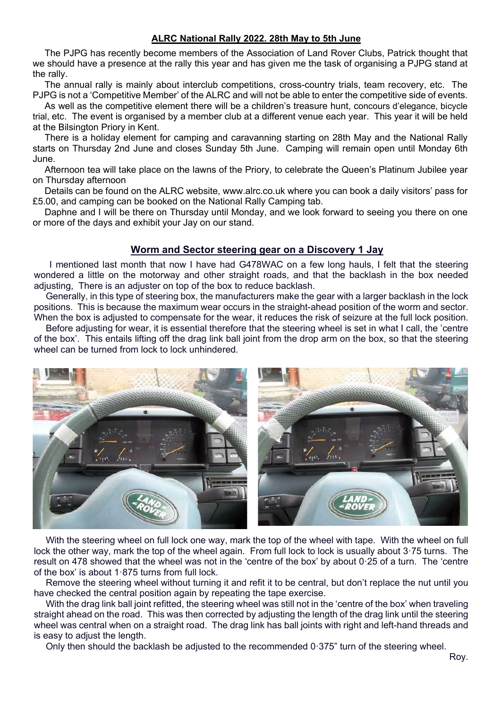#### ALRC National Rally 2022. 28th May to 5th June

The PJPG has recently become members of the Association of Land Rover Clubs, Patrick thought that we should have a presence at the rally this year and has given me the task of organising a PJPG stand at the rally.

The annual rally is mainly about interclub competitions, cross-country trials, team recovery, etc. The PJPG is not a 'Competitive Member' of the ALRC and will not be able to enter the competitive side of events.

As well as the competitive element there will be a children's treasure hunt, concours d'elegance, bicycle trial, etc. The event is organised by a member club at a different venue each year. This year it will be held at the Bilsington Priory in Kent.

There is a holiday element for camping and caravanning starting on 28th May and the National Rally starts on Thursday 2nd June and closes Sunday 5th June. Camping will remain open until Monday 6th June.

Afternoon tea will take place on the lawns of the Priory, to celebrate the Queen's Platinum Jubilee year on Thursday afternoon

Details can be found on the ALRC website, www.alrc.co.uk where you can book a daily visitors' pass for £5.00, and camping can be booked on the National Rally Camping tab.

Daphne and I will be there on Thursday until Monday, and we look forward to seeing you there on one or more of the days and exhibit your Jay on our stand.

#### Worm and Sector steering gear on a Discovery 1 Jay

 I mentioned last month that now I have had G478WAC on a few long hauls, I felt that the steering wondered a little on the motorway and other straight roads, and that the backlash in the box needed adjusting, There is an adjuster on top of the box to reduce backlash.

Generally, in this type of steering box, the manufacturers make the gear with a larger backlash in the lock positions. This is because the maximum wear occurs in the straight-ahead position of the worm and sector. When the box is adjusted to compensate for the wear, it reduces the risk of seizure at the full lock position.

Before adjusting for wear, it is essential therefore that the steering wheel is set in what I call, the 'centre of the box'. This entails lifting off the drag link ball joint from the drop arm on the box, so that the steering wheel can be turned from lock to lock unhindered.



With the steering wheel on full lock one way, mark the top of the wheel with tape. With the wheel on full lock the other way, mark the top of the wheel again. From full lock to lock is usually about 3·75 turns. The result on 478 showed that the wheel was not in the 'centre of the box' by about 0·25 of a turn. The 'centre of the box' is about 1·875 turns from full lock.

Remove the steering wheel without turning it and refit it to be central, but don't replace the nut until you have checked the central position again by repeating the tape exercise.

With the drag link ball joint refitted, the steering wheel was still not in the 'centre of the box' when traveling straight ahead on the road. This was then corrected by adjusting the length of the drag link until the steering wheel was central when on a straight road. The drag link has ball joints with right and left-hand threads and is easy to adjust the length.

Only then should the backlash be adjusted to the recommended 0·375" turn of the steering wheel.